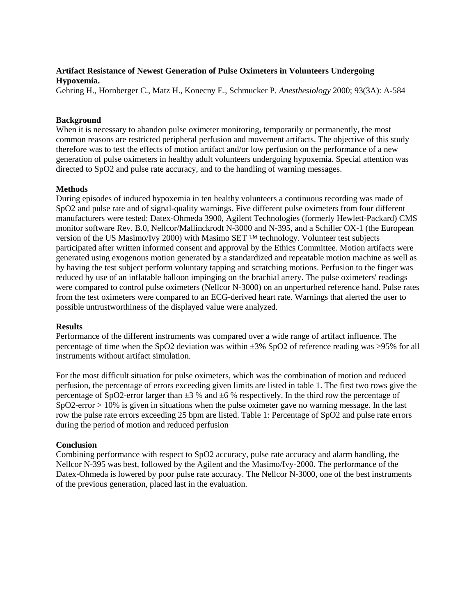# **Artifact Resistance of Newest Generation of Pulse Oximeters in Volunteers Undergoing Hypoxemia.**

Gehring H., Hornberger C., Matz H., Konecny E., Schmucker P. *Anesthesiology* 2000; 93(3A): A-584

## **Background**

When it is necessary to abandon pulse oximeter monitoring, temporarily or permanently, the most common reasons are restricted peripheral perfusion and movement artifacts. The objective of this study therefore was to test the effects of motion artifact and/or low perfusion on the performance of a new generation of pulse oximeters in healthy adult volunteers undergoing hypoxemia. Special attention was directed to SpO2 and pulse rate accuracy, and to the handling of warning messages.

## **Methods**

During episodes of induced hypoxemia in ten healthy volunteers a continuous recording was made of SpO2 and pulse rate and of signal-quality warnings. Five different pulse oximeters from four different manufacturers were tested: Datex-Ohmeda 3900, Agilent Technologies (formerly Hewlett-Packard) CMS monitor software Rev. B.0, Nellcor/Mallinckrodt N-3000 and N-395, and a Schiller OX-1 (the European version of the US Masimo/Ivy 2000) with Masimo SET ™ technology. Volunteer test subjects participated after written informed consent and approval by the Ethics Committee. Motion artifacts were generated using exogenous motion generated by a standardized and repeatable motion machine as well as by having the test subject perform voluntary tapping and scratching motions. Perfusion to the finger was reduced by use of an inflatable balloon impinging on the brachial artery. The pulse oximeters' readings were compared to control pulse oximeters (Nellcor N-3000) on an unperturbed reference hand. Pulse rates from the test oximeters were compared to an ECG-derived heart rate. Warnings that alerted the user to possible untrustworthiness of the displayed value were analyzed.

### **Results**

Performance of the different instruments was compared over a wide range of artifact influence. The percentage of time when the SpO2 deviation was within ±3% SpO2 of reference reading was >95% for all instruments without artifact simulation.

For the most difficult situation for pulse oximeters, which was the combination of motion and reduced perfusion, the percentage of errors exceeding given limits are listed in table 1. The first two rows give the percentage of SpO2-error larger than  $\pm 3$  % and  $\pm 6$  % respectively. In the third row the percentage of SpO2-error > 10% is given in situations when the pulse oximeter gave no warning message. In the last row the pulse rate errors exceeding 25 bpm are listed. Table 1: Percentage of SpO2 and pulse rate errors during the period of motion and reduced perfusion

### **Conclusion**

Combining performance with respect to SpO2 accuracy, pulse rate accuracy and alarm handling, the Nellcor N-395 was best, followed by the Agilent and the Masimo/Ivy-2000. The performance of the Datex-Ohmeda is lowered by poor pulse rate accuracy. The Nellcor N-3000, one of the best instruments of the previous generation, placed last in the evaluation.